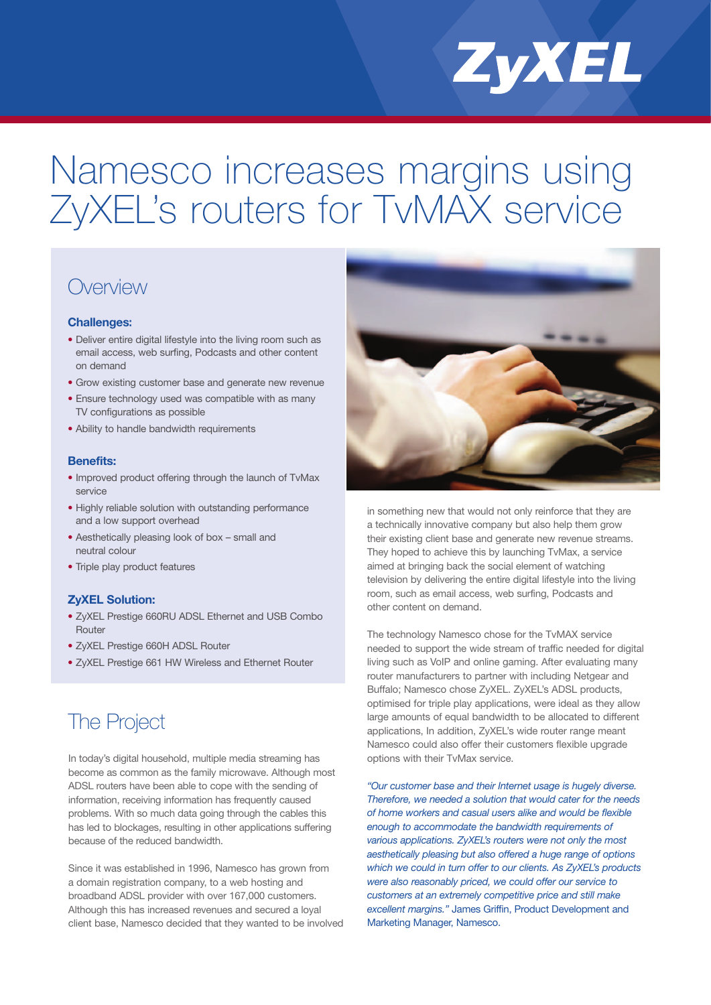# Namesco increases margins using ZyXEL's routers for TvMAX service

## **Overview**

#### **Challenges:**

- Deliver entire digital lifestyle into the living room such as email access, web surfing, Podcasts and other content on demand
- Grow existing customer base and generate new revenue
- Ensure technology used was compatible with as many TV configurations as possible
- Ability to handle bandwidth requirements

#### **Benefits:**

- Improved product offering through the launch of TvMax service
- Highly reliable solution with outstanding performance and a low support overhead
- Aesthetically pleasing look of box small and neutral colour
- Triple play product features

#### **ZyXEL Solution:**

- ZyXEL Prestige 660RU ADSL Ethernet and USB Combo Router
- ZyXEL Prestige 660H ADSL Router
- ZyXEL Prestige 661 HW Wireless and Ethernet Router

## The Project

momator, recoving information has nequently educed<br>problems. With so much data going through the cables this In today's digital household, multiple media streaming has become as common as the family microwave. Although most ADSL routers have been able to cope with the sending of information, receiving information has frequently caused has led to blockages, resulting in other applications suffering because of the reduced bandwidth.

Since it was established in 1996, Namesco has grown from a domain registration company, to a web hosting and broadband ADSL provider with over 167,000 customers. Although this has increased revenues and secured a loyal client base, Namesco decided that they wanted to be involved



ZyXEL

in something new that would not only reinforce that they are a technically innovative company but also help them grow their existing client base and generate new revenue streams. They hoped to achieve this by launching TvMax, a service aimed at bringing back the social element of watching television by delivering the entire digital lifestyle into the living room, such as email access, web surfing, Podcasts and other content on demand.

The technology Namesco chose for the TvMAX service needed to support the wide stream of traffic needed for digital living such as VoIP and online gaming. After evaluating many router manufacturers to partner with including Netgear and Buffalo; Namesco chose ZyXEL. ZyXEL's ADSL products, optimised for triple play applications, were ideal as they allow large amounts of equal bandwidth to be allocated to different applications, In addition, ZyXEL's wide router range meant Namesco could also offer their customers flexible upgrade options with their TvMax service.

*Therefore, we needed a solution that would cater for the needs* excellent margins." James Griffin, Product Development and *"Our customer base and their Internet usage is hugely diverse. of home workers and casual users alike and would be flexible enough to accommodate the bandwidth requirements of various applications. ZyXEL's routers were not only the most aesthetically pleasing but also offered a huge range of options which we could in turn offer to our clients. As ZyXEL's products were also reasonably priced, we could offer our service to customers at an extremely competitive price and still make* Marketing Manager, Namesco.